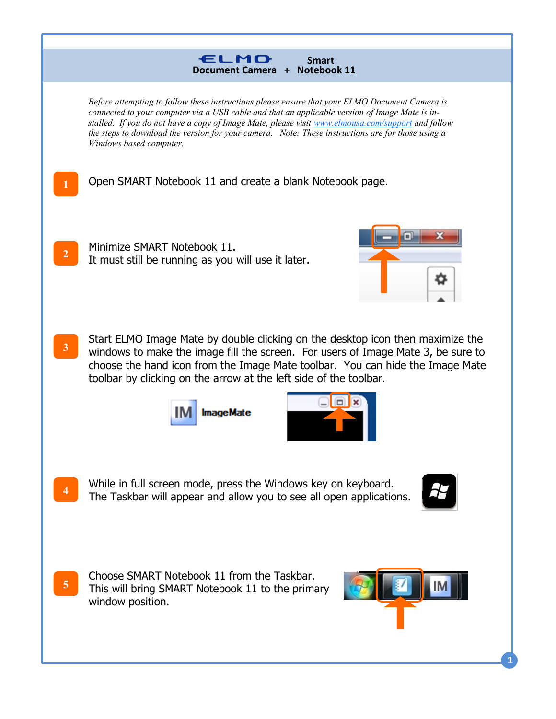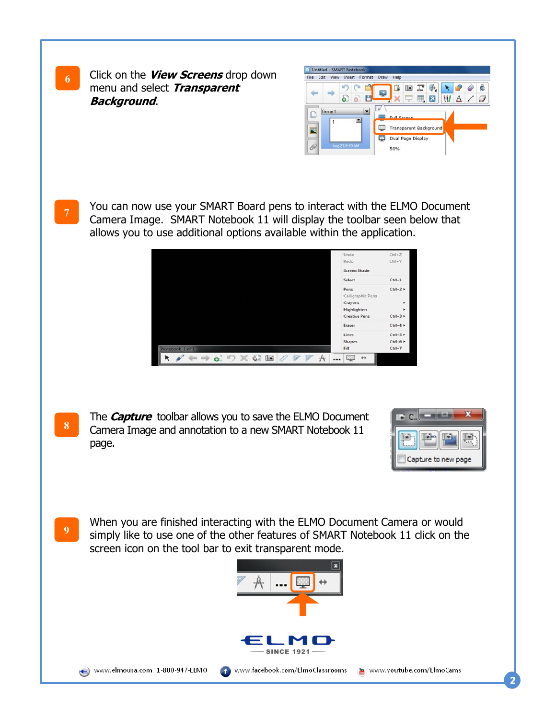